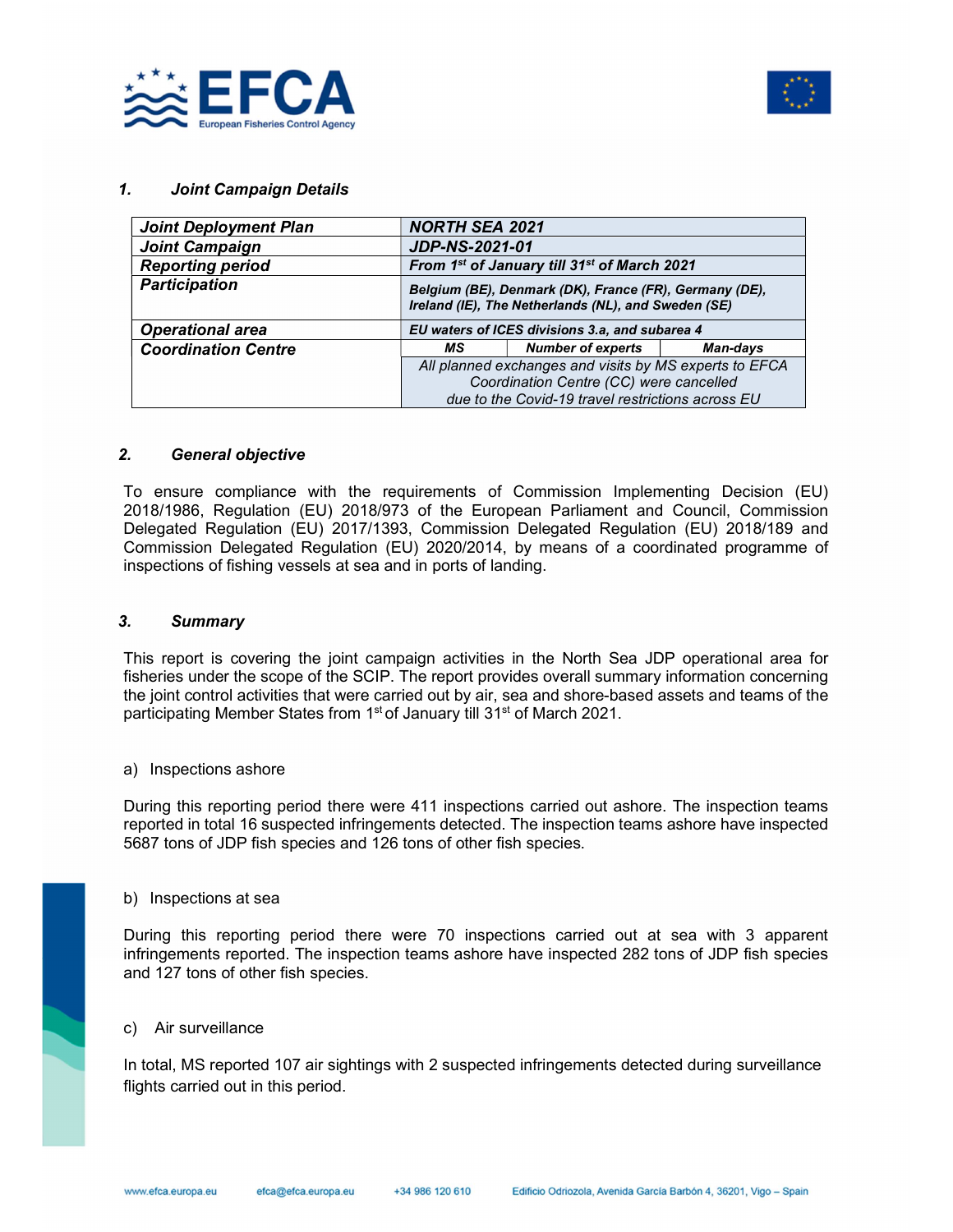



### 1. Joint Campaign Details

| <b>Joint Deployment Plan</b> | <b>NORTH SEA 2021</b>                                                                                                                                  |                                                                                                               |          |  |  |
|------------------------------|--------------------------------------------------------------------------------------------------------------------------------------------------------|---------------------------------------------------------------------------------------------------------------|----------|--|--|
| <b>Joint Campaign</b>        | <b>JDP-NS-2021-01</b>                                                                                                                                  |                                                                                                               |          |  |  |
| <b>Reporting period</b>      | From 1 <sup>st</sup> of January till 31 <sup>st</sup> of March 2021                                                                                    |                                                                                                               |          |  |  |
| <b>Participation</b>         |                                                                                                                                                        | Belgium (BE), Denmark (DK), France (FR), Germany (DE),<br>Ireland (IE), The Netherlands (NL), and Sweden (SE) |          |  |  |
| <b>Operational area</b>      | EU waters of ICES divisions 3.a, and subarea 4                                                                                                         |                                                                                                               |          |  |  |
| <b>Coordination Centre</b>   | МS                                                                                                                                                     | <b>Number of experts</b>                                                                                      | Man-days |  |  |
|                              | All planned exchanges and visits by MS experts to EFCA<br>Coordination Centre (CC) were cancelled<br>due to the Covid-19 travel restrictions across EU |                                                                                                               |          |  |  |

#### 2. General objective

To ensure compliance with the requirements of Commission Implementing Decision (EU) 2018/1986, Regulation (EU) 2018/973 of the European Parliament and Council, Commission Delegated Regulation (EU) 2017/1393, Commission Delegated Regulation (EU) 2018/189 and Commission Delegated Regulation (EU) 2020/2014, by means of a coordinated programme of inspections of fishing vessels at sea and in ports of landing.

#### 3. Summary

This report is covering the joint campaign activities in the North Sea JDP operational area for fisheries under the scope of the SCIP. The report provides overall summary information concerning the joint control activities that were carried out by air, sea and shore-based assets and teams of the participating Member States from 1<sup>st</sup> of January till 31<sup>st</sup> of March 2021.

#### a) Inspections ashore

During this reporting period there were 411 inspections carried out ashore. The inspection teams reported in total 16 suspected infringements detected. The inspection teams ashore have inspected 5687 tons of JDP fish species and 126 tons of other fish species.

#### b) Inspections at sea

During this reporting period there were 70 inspections carried out at sea with 3 apparent infringements reported. The inspection teams ashore have inspected 282 tons of JDP fish species and 127 tons of other fish species.

## c) Air surveillance

In total, MS reported 107 air sightings with 2 suspected infringements detected during surveillance flights carried out in this period.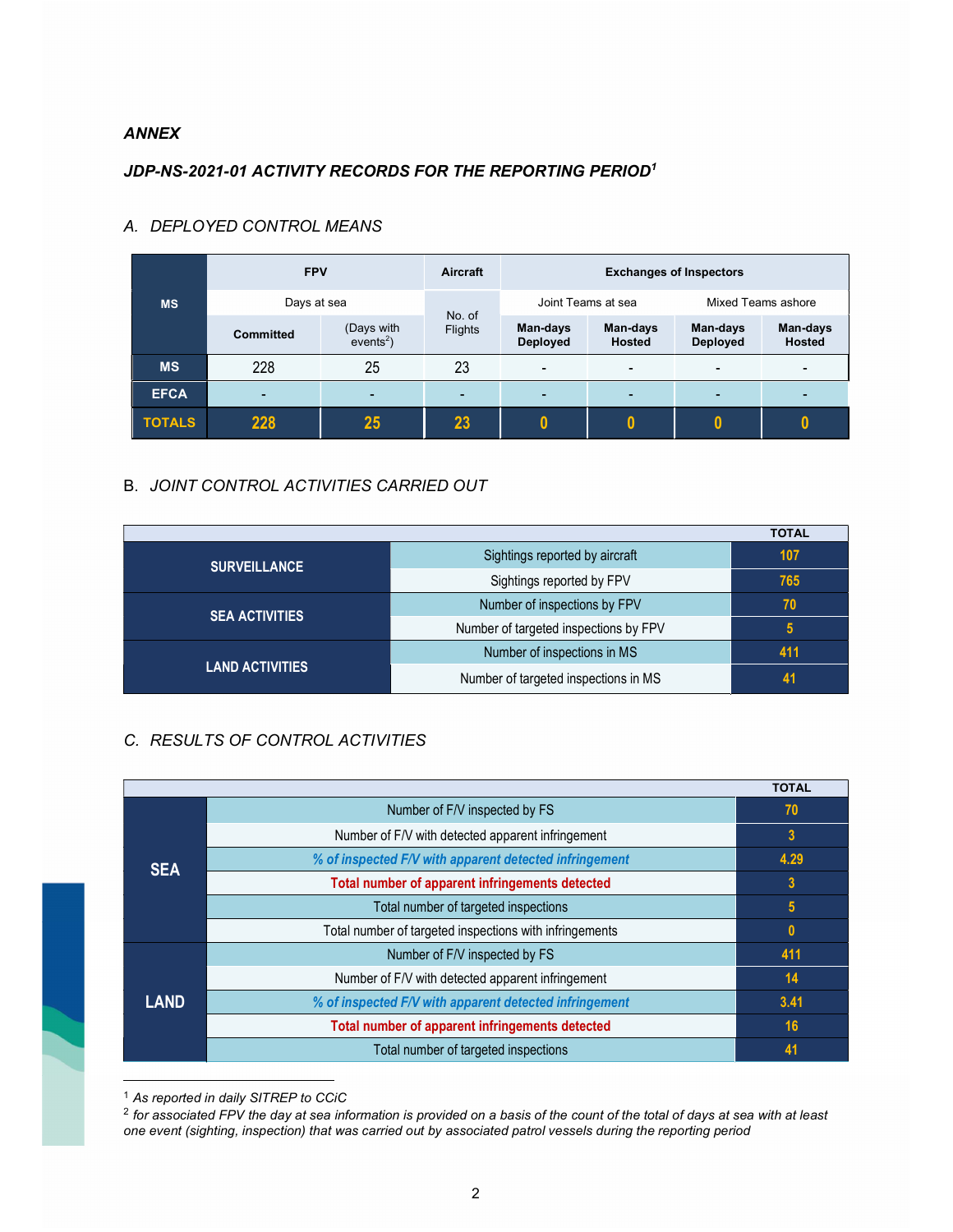## ANNEX

## JDP-NS-2021-01 ACTIVITY RECORDS FOR THE REPORTING PERIOD<sup>1</sup>

|               | <b>FPV</b>       |                           | Aircraft          | <b>Exchanges of Inspectors</b> |                           |                             |                           |
|---------------|------------------|---------------------------|-------------------|--------------------------------|---------------------------|-----------------------------|---------------------------|
| <b>MS</b>     | Days at sea      |                           |                   | Joint Teams at sea             |                           | Mixed Teams ashore          |                           |
|               | <b>Committed</b> | (Days with<br>$events2$ ) | No. of<br>Flights | Man-days<br><b>Deployed</b>    | Man-days<br><b>Hosted</b> | Man-days<br><b>Deployed</b> | Man-days<br><b>Hosted</b> |
| <b>MS</b>     | 228              | 25                        | 23                | $\overline{\phantom{0}}$       | $\overline{\phantom{0}}$  | $\overline{\phantom{a}}$    |                           |
| <b>EFCA</b>   | $\blacksquare$   | $\overline{\phantom{0}}$  | <b>-</b>          | $\overline{\phantom{0}}$       |                           | -                           |                           |
| <b>TOTALS</b> | 228              | 25                        | 23                |                                |                           |                             |                           |

# A. DEPLOYED CONTROL MEANS

# B. JOINT CONTROL ACTIVITIES CARRIED OUT

|                        |                                       | <b>TOTAL</b> |
|------------------------|---------------------------------------|--------------|
| <b>SURVEILLANCE</b>    | Sightings reported by aircraft        | 107          |
|                        | Sightings reported by FPV             | 765          |
|                        | Number of inspections by FPV          | 70           |
| <b>SEA ACTIVITIES</b>  | Number of targeted inspections by FPV | 5            |
|                        | Number of inspections in MS           | 411          |
| <b>LAND ACTIVITIES</b> | Number of targeted inspections in MS  | 41           |

# C. RESULTS OF CONTROL ACTIVITIES

|             |                                                         | <b>TOTAL</b>    |
|-------------|---------------------------------------------------------|-----------------|
| <b>SEA</b>  | Number of F/V inspected by FS                           | 70              |
|             | Number of F/V with detected apparent infringement       | 3               |
|             | % of inspected F/V with apparent detected infringement  | 4.29            |
|             | Total number of apparent infringements detected         | $\overline{3}$  |
|             | Total number of targeted inspections                    | $5\phantom{.0}$ |
|             | Total number of targeted inspections with infringements | $\mathbf{0}$    |
| <b>LAND</b> | Number of F/V inspected by FS                           | 411             |
|             | Number of F/V with detected apparent infringement       | 14              |
|             | % of inspected F/V with apparent detected infringement  | 3.41            |
|             | Total number of apparent infringements detected         | 16              |
|             | Total number of targeted inspections                    | 41              |

<sup>1</sup> As reported in daily SITREP to CCiC

 $^2$  for associated FPV the day at sea information is provided on a basis of the count of the total of days at sea with at least one event (sighting, inspection) that was carried out by associated patrol vessels during the reporting period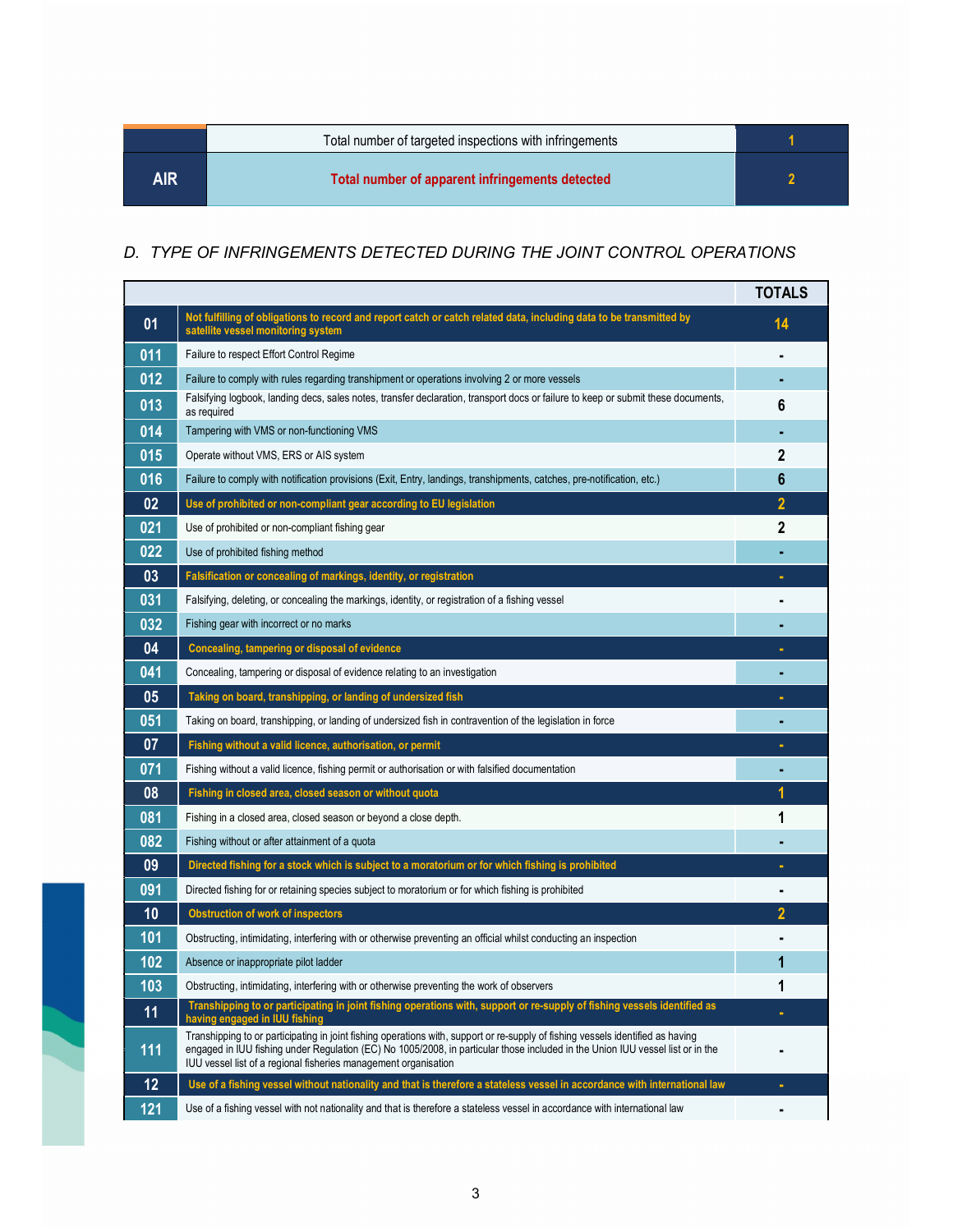|     | Total number of targeted inspections with infringements |  |
|-----|---------------------------------------------------------|--|
| AIR | Total number of apparent infringements detected         |  |

# D. TYPE OF INFRINGEMENTS DETECTED DURING THE JOINT CONTROL OPERATIONS

|     |                                                                                                                                                                                                                                                                                                                                      | <b>TOTALS</b> |
|-----|--------------------------------------------------------------------------------------------------------------------------------------------------------------------------------------------------------------------------------------------------------------------------------------------------------------------------------------|---------------|
| 01  | Not fulfilling of obligations to record and report catch or catch related data, including data to be transmitted by<br>satellite vessel monitoring system                                                                                                                                                                            | 14            |
| 011 | Failure to respect Effort Control Regime                                                                                                                                                                                                                                                                                             |               |
| 012 | Failure to comply with rules regarding transhipment or operations involving 2 or more vessels                                                                                                                                                                                                                                        |               |
| 013 | Falsifying logbook, landing decs, sales notes, transfer declaration, transport docs or failure to keep or submit these documents,<br>as required                                                                                                                                                                                     | 6             |
| 014 | Tampering with VMS or non-functioning VMS                                                                                                                                                                                                                                                                                            |               |
| 015 | Operate without VMS, ERS or AIS system                                                                                                                                                                                                                                                                                               | 2             |
| 016 | Failure to comply with notification provisions (Exit, Entry, landings, transhipments, catches, pre-notification, etc.)                                                                                                                                                                                                               | 6             |
| 02  | Use of prohibited or non-compliant gear according to EU legislation                                                                                                                                                                                                                                                                  | 2             |
| 021 | Use of prohibited or non-compliant fishing gear                                                                                                                                                                                                                                                                                      | 2             |
| 022 | Use of prohibited fishing method                                                                                                                                                                                                                                                                                                     |               |
| 03  | Falsification or concealing of markings, identity, or registration                                                                                                                                                                                                                                                                   |               |
| 031 | Falsifying, deleting, or concealing the markings, identity, or registration of a fishing vessel                                                                                                                                                                                                                                      |               |
| 032 | Fishing gear with incorrect or no marks                                                                                                                                                                                                                                                                                              |               |
| 04  | Concealing, tampering or disposal of evidence                                                                                                                                                                                                                                                                                        |               |
| 041 | Concealing, tampering or disposal of evidence relating to an investigation                                                                                                                                                                                                                                                           |               |
| 05  | Taking on board, transhipping, or landing of undersized fish                                                                                                                                                                                                                                                                         |               |
| 051 | Taking on board, transhipping, or landing of undersized fish in contravention of the legislation in force                                                                                                                                                                                                                            |               |
| 07  | Fishing without a valid licence, authorisation, or permit                                                                                                                                                                                                                                                                            |               |
| 071 | Fishing without a valid licence, fishing permit or authorisation or with falsified documentation                                                                                                                                                                                                                                     |               |
| 08  | Fishing in closed area, closed season or without quota                                                                                                                                                                                                                                                                               |               |
| 081 | Fishing in a closed area, closed season or beyond a close depth.                                                                                                                                                                                                                                                                     | 1             |
| 082 | Fishing without or after attainment of a quota                                                                                                                                                                                                                                                                                       |               |
| 09  | Directed fishing for a stock which is subject to a moratorium or for which fishing is prohibited                                                                                                                                                                                                                                     |               |
| 091 | Directed fishing for or retaining species subject to moratorium or for which fishing is prohibited                                                                                                                                                                                                                                   |               |
| 10  | <b>Obstruction of work of inspectors</b>                                                                                                                                                                                                                                                                                             |               |
| 101 | Obstructing, intimidating, interfering with or otherwise preventing an official whilst conducting an inspection                                                                                                                                                                                                                      |               |
| 102 | Absence or inappropriate pilot ladder                                                                                                                                                                                                                                                                                                | 1             |
| 103 | Obstructing, intimidating, interfering with or otherwise preventing the work of observers                                                                                                                                                                                                                                            | 1             |
| 11  | Transhipping to or participating in joint fishing operations with, support or re-supply of fishing vessels identified as<br>having engaged in IUU fishing                                                                                                                                                                            | ٠             |
| 111 | Transhipping to or participating in joint fishing operations with, support or re-supply of fishing vessels identified as having<br>engaged in IUU fishing under Regulation (EC) No 1005/2008, in particular those included in the Union IUU vessel list or in the<br>IUU vessel list of a regional fisheries management organisation |               |
| 12  | Use of a fishing vessel without nationality and that is therefore a stateless vessel in accordance with international law                                                                                                                                                                                                            | ٠             |
| 121 | Use of a fishing vessel with not nationality and that is therefore a stateless vessel in accordance with international law                                                                                                                                                                                                           |               |

i.